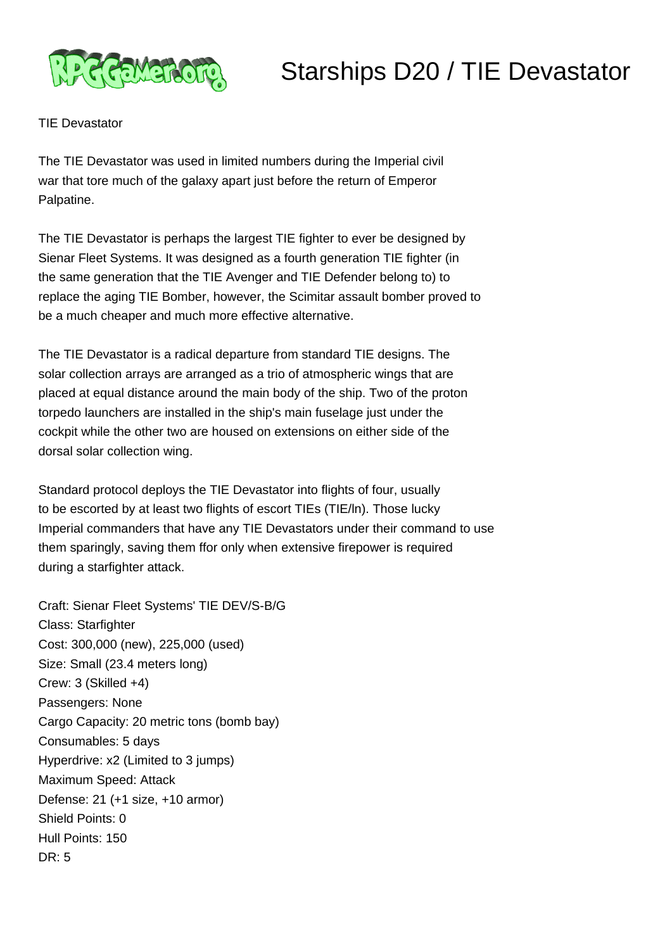

## Starships D20 / TIE Devastator

TIE Devastator

The TIE Devastator was used in limited numbers during the Imperial civil war that tore much of the galaxy apart just before the return of Emperor Palpatine.

The TIE Devastator is perhaps the largest TIE fighter to ever be designed by Sienar Fleet Systems. It was designed as a fourth generation TIE fighter (in the same generation that the TIE Avenger and TIE Defender belong to) to replace the aging TIE Bomber, however, the Scimitar assault bomber proved to be a much cheaper and much more effective alternative.

The TIE Devastator is a radical departure from standard TIE designs. The solar collection arrays are arranged as a trio of atmospheric wings that are placed at equal distance around the main body of the ship. Two of the proton torpedo launchers are installed in the ship's main fuselage just under the cockpit while the other two are housed on extensions on either side of the dorsal solar collection wing.

Standard protocol deploys the TIE Devastator into flights of four, usually to be escorted by at least two flights of escort TIEs (TIE/ln). Those lucky Imperial commanders that have any TIE Devastators under their command to use them sparingly, saving them ffor only when extensive firepower is required during a starfighter attack.

Craft: Sienar Fleet Systems' TIE DEV/S-B/G Class: Starfighter Cost: 300,000 (new), 225,000 (used) Size: Small (23.4 meters long) Crew: 3 (Skilled +4) Passengers: None Cargo Capacity: 20 metric tons (bomb bay) Consumables: 5 days Hyperdrive: x2 (Limited to 3 jumps) Maximum Speed: Attack Defense: 21 (+1 size, +10 armor) Shield Points: 0 Hull Points: 150 DR: 5